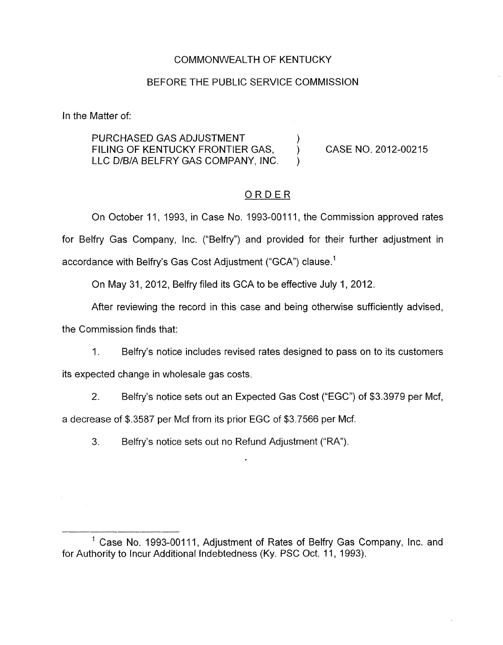# COMMONWEALTH OF KENTUCKY

#### BEFORE THE PUBLIC SERVICE COMMISSION

In the Matter of:

PURCHASED GAS ADJUSTMENT (2005) FILING OF KENTUCKY FRONTIER GAS. (CASE NO. 2012-00215) LLC D/B/A BELFRY GAS COMPANY, INC.

# ORDER

On October 11, 1993, in Case No. 1993-00111, the Commission approved rates for Belfry Gas Company, Inc. ("Belfry") and provided for their further adjustment in accordance with Belfry's Gas Cost Adjustment ("GCA") clause.<sup>1</sup>

On May 31, 2012, Belfry filed its GCA to be effective July 1, 2012.

After reviewing the record in this case and being otherwise sufficiently advised,

the Commission finds that:

1. Belfry's notice includes revised rates designed to pass on to its customers

its expected change in wholesale gas costs.

2. Belfry's notice sets out an Expected Gas Cost ("EGC") of \$3.3979 per Mcf,

a decrease of \$.3587 per Mcf from its prior EGC of \$3.7566 per Mcf.

3. Belfry's notice sets out no Refund Adjustment ("RA").

 $1$  Case No. 1993-00111, Adjustment of Rates of Belfry Gas Company, Inc. and for Authority to Incur Additional Indebtedness (Ky. PSC Oct. 11, 1993).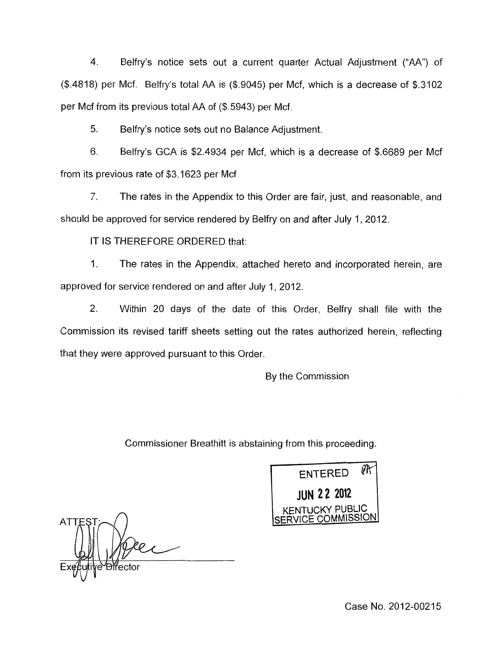4. Belfry's notice sets out a current quarter Actual Adjustment ("AA") of (\$.4818) per Mcf. Belfry's total AA is (\$.9045) per Mcf, which is a decrease of \$.3102 per Mcf from its previous total AA of (\$.5943) per Mcf.

5. Belfry's notice sets out no Balance Adjustment.

6. Belfry's GCA is \$2.4934 per Mcf, which is a decrease of \$.6689 per Mcf from its previous rate of \$3.1623 per Mcf.

*7.* The rates in the Appendix to this Order are fair, just, and reasonable, and should be approved for service rendered by Belfry on and after July 1, 2012.

IT IS THEREFORE ORDERED that:

1. The rates in the Appendix, attached hereto and incorporated herein, are approved for service rendered on and after July 1, 2012.

2. Within 20 days of the date of this Order, Belfry shall file with the Commission its revised tariff sheets setting out the rates authorized herein, reflecting that they were approved pursuant to this Order.

By the Commission

Commissioner Breathitt is abstaining from this proceeding.

РK ENTERED **JUN 22 2012** KENTUCKY PUBLIC SERVICE COMMISSION.

 $\overline{\wedge}$ ATTES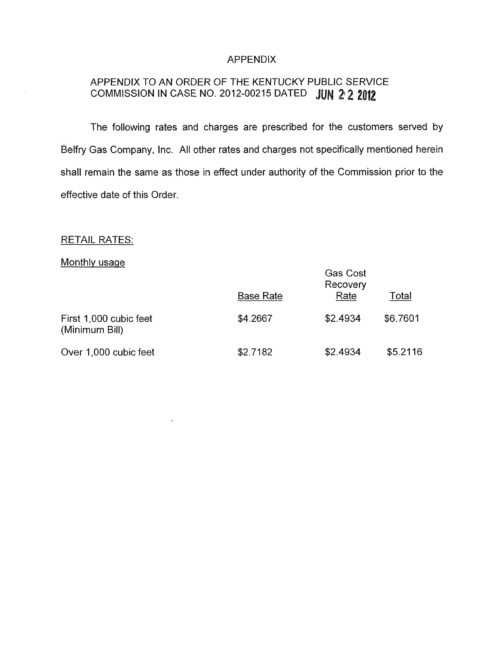#### APPENDIX

# APPENDIX TO AN ORDER OF THE KENTUCKY PUBLIC SERVICE COMMISSION IN CASE NO. 2012-00215 DATED **JUN 2 2 2012**

The following rates and charges are prescribed for the customers served by Belfry Gas Company, Inc. All other rates and charges not specifically mentioned herein shall remain the same as those in effect under authority of the Commission prior to the effective date of this Order.

# **RETAIL RATES:**

# Monthly usaqe

| <b>RETAIL RATES:</b>                     |                  |                                     |          |
|------------------------------------------|------------------|-------------------------------------|----------|
| Monthly usage                            | <b>Base Rate</b> | <b>Gas Cost</b><br>Recovery<br>Rate | Total    |
| First 1,000 cubic feet<br>(Minimum Bill) | \$4.2667         | \$2.4934                            | \$6.7601 |
| Over 1,000 cubic feet                    | \$2.7182         | \$2.4934                            | \$5.2116 |